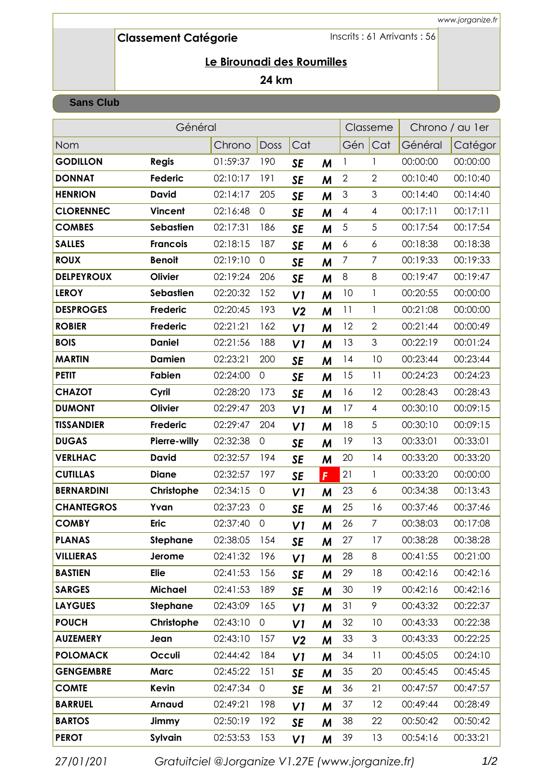# **Classement CatÈgorie**

Inscrits : 61 Arrivants : 56

### **24 km**

#### **Sans Club**

|                   | Général         |          |                     |                | Classeme |                          | Chrono / au 1 er |          |          |
|-------------------|-----------------|----------|---------------------|----------------|----------|--------------------------|------------------|----------|----------|
| <b>Nom</b>        |                 | Chrono   | Doss                | Cat            |          | Gén                      | Cat              | Général  | Catégor  |
| <b>GODILLON</b>   | <b>Regis</b>    | 01:59:37 | 190                 | <b>SE</b>      | M        | 1                        | 1                | 00:00:00 | 00:00:00 |
| <b>DONNAT</b>     | Federic         | 02:10:17 | 191                 | <b>SE</b>      | M        | $\mathbf{2}$             | $\mathbf{2}$     | 00:10:40 | 00:10:40 |
| <b>HENRION</b>    | <b>David</b>    | 02:14:17 | 205                 | <b>SE</b>      | M        | $\mathsf 3$              | $\mathfrak{S}$   | 00:14:40 | 00:14:40 |
| <b>CLORENNEC</b>  | <b>Vincent</b>  | 02:16:48 | $\mathsf{O}\xspace$ | <b>SE</b>      | M        | $\overline{\mathcal{A}}$ | $\overline{4}$   | 00:17:11 | 00:17:11 |
| <b>COMBES</b>     | Sebastien       | 02:17:31 | 186                 | <b>SE</b>      | M        | $\sqrt{5}$               | 5                | 00:17:54 | 00:17:54 |
| <b>SALLES</b>     | <b>Francois</b> | 02:18:15 | 187                 | <b>SE</b>      | M        | 6                        | 6                | 00:18:38 | 00:18:38 |
| <b>ROUX</b>       | <b>Benoit</b>   | 02:19:10 | $\mathsf{O}\xspace$ | <b>SE</b>      | M        | $\overline{7}$           | $\overline{7}$   | 00:19:33 | 00:19:33 |
| <b>DELPEYROUX</b> | Olivier         | 02:19:24 | 206                 | <b>SE</b>      | M        | 8                        | 8                | 00:19:47 | 00:19:47 |
| <b>LEROY</b>      | Sebastien       | 02:20:32 | 152                 | VI             | M        | 10                       | $\mathbf{1}$     | 00:20:55 | 00:00:00 |
| <b>DESPROGES</b>  | Frederic        | 02:20:45 | 193                 | V <sub>2</sub> | M        | 11                       | 1                | 00:21:08 | 00:00:00 |
| <b>ROBIER</b>     | <b>Frederic</b> | 02:21:21 | 162                 | VI             | M        | 12                       | $\mathbf{2}$     | 00:21:44 | 00:00:49 |
| <b>BOIS</b>       | <b>Daniel</b>   | 02:21:56 | 188                 | VI             | M        | 13                       | 3                | 00:22:19 | 00:01:24 |
| <b>MARTIN</b>     | <b>Damien</b>   | 02:23:21 | 200                 | <b>SE</b>      | M        | 14                       | 10               | 00:23:44 | 00:23:44 |
| <b>PETIT</b>      | Fabien          | 02:24:00 | $\mathsf{O}\xspace$ | <b>SE</b>      | M        | 15                       | 11               | 00:24:23 | 00:24:23 |
| <b>CHAZOT</b>     | Cyril           | 02:28:20 | 173                 | <b>SE</b>      | M        | 16                       | 12               | 00:28:43 | 00:28:43 |
| <b>DUMONT</b>     | Olivier         | 02:29:47 | 203                 | VI             | M        | 17                       | $\overline{4}$   | 00:30:10 | 00:09:15 |
| <b>TISSANDIER</b> | <b>Frederic</b> | 02:29:47 | 204                 | VI             | M        | 18                       | 5                | 00:30:10 | 00:09:15 |
| <b>DUGAS</b>      | Pierre-willy    | 02:32:38 | $\mathsf{O}\xspace$ | <b>SE</b>      | M        | 19                       | 13               | 00:33:01 | 00:33:01 |
| <b>VERLHAC</b>    | <b>David</b>    | 02:32:57 | 194                 | <b>SE</b>      | M        | 20                       | 14               | 00:33:20 | 00:33:20 |
| <b>CUTILLAS</b>   | <b>Diane</b>    | 02:32:57 | 197                 | <b>SE</b>      | F        | 21                       | $\mathbf{1}$     | 00:33:20 | 00:00:00 |
| <b>BERNARDINI</b> | Christophe      | 02:34:15 | $\mathsf{O}\xspace$ | V <sub>1</sub> | M        | 23                       | 6                | 00:34:38 | 00:13:43 |
| <b>CHANTEGROS</b> | Yvan            | 02:37:23 | $\overline{0}$      | <b>SE</b>      | M        | 25                       | 16               | 00:37:46 | 00:37:46 |
| <b>COMBY</b>      | <b>Eric</b>     | 02:37:40 | $\mathbf 0$         | V <sub>1</sub> | M        | 26                       | $\overline{7}$   | 00:38:03 | 00:17:08 |
| <b>PLANAS</b>     | <b>Stephane</b> | 02:38:05 | 154                 | <b>SE</b>      | M        | 27                       | 17               | 00:38:28 | 00:38:28 |
| <b>VILLIERAS</b>  | Jerome          | 02:41:32 | 196                 | V <sub>1</sub> | M        | 28                       | 8                | 00:41:55 | 00:21:00 |
| <b>BASTIEN</b>    | <b>Elie</b>     | 02:41:53 | 156                 | <b>SE</b>      | M        | 29                       | 18               | 00:42:16 | 00:42:16 |
| <b>SARGES</b>     | Michael         | 02:41:53 | 189                 | <b>SE</b>      | M        | 30                       | 19               | 00:42:16 | 00:42:16 |
| <b>LAYGUES</b>    | <b>Stephane</b> | 02:43:09 | 165                 | V1             | M        | 31                       | 9                | 00:43:32 | 00:22:37 |
| <b>POUCH</b>      | Christophe      | 02:43:10 | $\mathsf{O}\xspace$ | VI             | M        | 32                       | 10               | 00:43:33 | 00:22:38 |
| <b>AUZEMERY</b>   | Jean            | 02:43:10 | 157                 | V <sub>2</sub> | M        | 33                       | $\mathfrak{Z}$   | 00:43:33 | 00:22:25 |
| <b>POLOMACK</b>   | Occuli          | 02:44:42 | 184                 | V <sub>1</sub> | M        | 34                       | 11               | 00:45:05 | 00:24:10 |
| <b>GENGEMBRE</b>  | <b>Marc</b>     | 02:45:22 | 151                 | <b>SE</b>      | M        | 35                       | 20               | 00:45:45 | 00:45:45 |
| <b>COMTE</b>      | Kevin           | 02:47:34 | $\mathsf{O}\xspace$ | <b>SE</b>      | M        | 36                       | 21               | 00:47:57 | 00:47:57 |
| <b>BARRUEL</b>    | Arnaud          | 02:49:21 | 198                 | V <sub>1</sub> | M        | 37                       | 12               | 00:49:44 | 00:28:49 |
| <b>BARTOS</b>     | Jimmy           | 02:50:19 | 192                 | <b>SE</b>      | M        | 38                       | 22               | 00:50:42 | 00:50:42 |
| <b>PEROT</b>      | <b>Sylvain</b>  | 02:53:53 | 153                 | VI             | M        | 39                       | 13               | 00:54:16 | 00:33:21 |

*27/01/201 Gratuitciel @Jorganize V1.27E (www.jorganize.fr)* 1/2